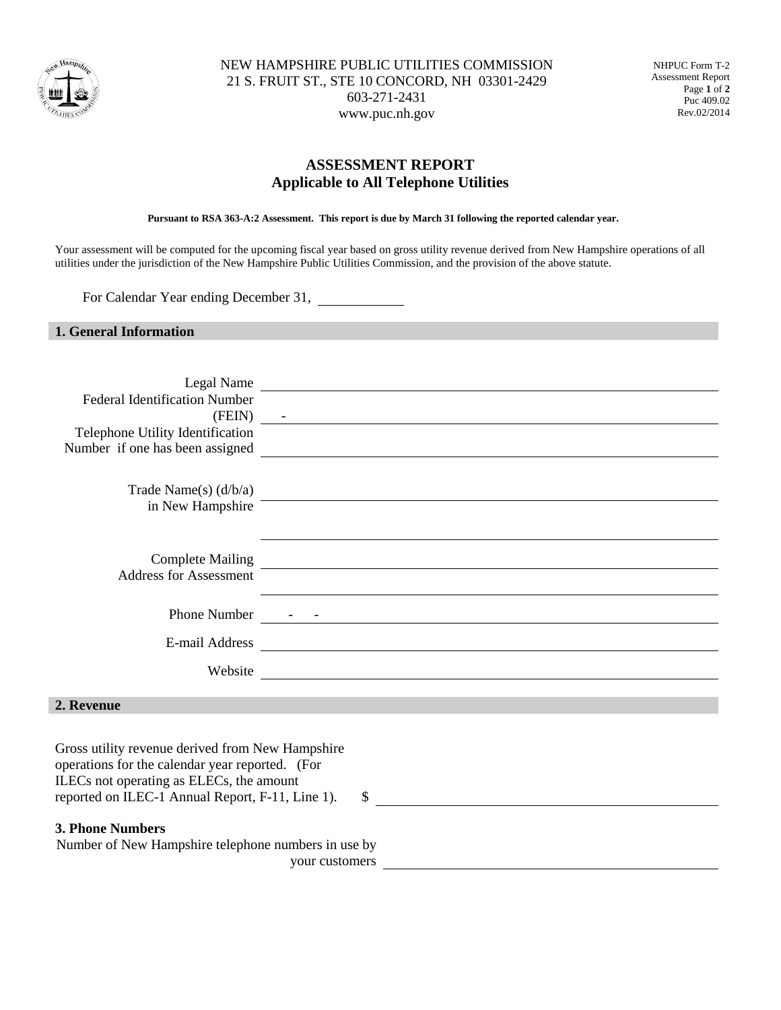

NEW HAMPSHIRE PUBLIC UTILITIES COMMISSION 21 S. FRUIT ST., STE 10 CONCORD, NH 03301-2429 603-271-2431 www.puc.nh.gov

NHPUC Form T-2 Assessment Report Page **1** of **2** Puc 409.02 Rev.02/2014

## **ASSESSMENT REPORT Applicable to All Telephone Utilities**

**Pursuant to RSA 363-A:2 Assessment. This report is due by March 31 following the reported calendar year.**

Your assessment will be computed for the upcoming fiscal year based on gross utility revenue derived from New Hampshire operations of all utilities under the jurisdiction of the New Hampshire Public Utilities Commission, and the provision of the above statute.

For Calendar Year ending December 31,

## **1. General Information**

| Legal Name                                          | <u> 1989 - Johann Johann Stoff, deutscher Stoffen und der Stoffen und der Stoffen und der Stoffen und der Stoffen</u>                                                                                                         |    |  |  |  |  |  |  |
|-----------------------------------------------------|-------------------------------------------------------------------------------------------------------------------------------------------------------------------------------------------------------------------------------|----|--|--|--|--|--|--|
| <b>Federal Identification Number</b>                |                                                                                                                                                                                                                               |    |  |  |  |  |  |  |
| $(FEIN)$ -                                          | <u> 1980 - Johann Stoff, Amerikaansk politiker († 1908)</u>                                                                                                                                                                   |    |  |  |  |  |  |  |
| Telephone Utility Identification                    |                                                                                                                                                                                                                               |    |  |  |  |  |  |  |
|                                                     |                                                                                                                                                                                                                               |    |  |  |  |  |  |  |
|                                                     |                                                                                                                                                                                                                               |    |  |  |  |  |  |  |
| Trade Name(s) $(d/b/a)$                             |                                                                                                                                                                                                                               |    |  |  |  |  |  |  |
| in New Hampshire <sup>-</sup>                       |                                                                                                                                                                                                                               |    |  |  |  |  |  |  |
|                                                     |                                                                                                                                                                                                                               |    |  |  |  |  |  |  |
|                                                     |                                                                                                                                                                                                                               |    |  |  |  |  |  |  |
| <b>Complete Mailing</b>                             |                                                                                                                                                                                                                               |    |  |  |  |  |  |  |
| <b>Address for Assessment</b>                       | <u> 1989 - Johann Barn, mars ann an t-Amhain ann an t-Amhain ann an t-Amhain ann an t-Amhain an t-Amhain ann an t-</u>                                                                                                        |    |  |  |  |  |  |  |
|                                                     |                                                                                                                                                                                                                               |    |  |  |  |  |  |  |
|                                                     |                                                                                                                                                                                                                               |    |  |  |  |  |  |  |
| E-mail Address                                      |                                                                                                                                                                                                                               |    |  |  |  |  |  |  |
|                                                     | Website Neumann Communication of the Communication of the Communication of the Communication of the Communication of the Communication of the Communication of the Communication of the Communication of the Communication of |    |  |  |  |  |  |  |
|                                                     |                                                                                                                                                                                                                               |    |  |  |  |  |  |  |
| 2. Revenue                                          |                                                                                                                                                                                                                               |    |  |  |  |  |  |  |
|                                                     |                                                                                                                                                                                                                               |    |  |  |  |  |  |  |
| Gross utility revenue derived from New Hampshire    |                                                                                                                                                                                                                               |    |  |  |  |  |  |  |
| operations for the calendar year reported. (For     |                                                                                                                                                                                                                               |    |  |  |  |  |  |  |
| ILECs not operating as ELECs, the amount            |                                                                                                                                                                                                                               |    |  |  |  |  |  |  |
| reported on ILEC-1 Annual Report, F-11, Line 1).    |                                                                                                                                                                                                                               | \$ |  |  |  |  |  |  |
|                                                     |                                                                                                                                                                                                                               |    |  |  |  |  |  |  |
| <b>3. Phone Numbers</b>                             |                                                                                                                                                                                                                               |    |  |  |  |  |  |  |
| Number of New Hampshire telephone numbers in use by |                                                                                                                                                                                                                               |    |  |  |  |  |  |  |

your customers